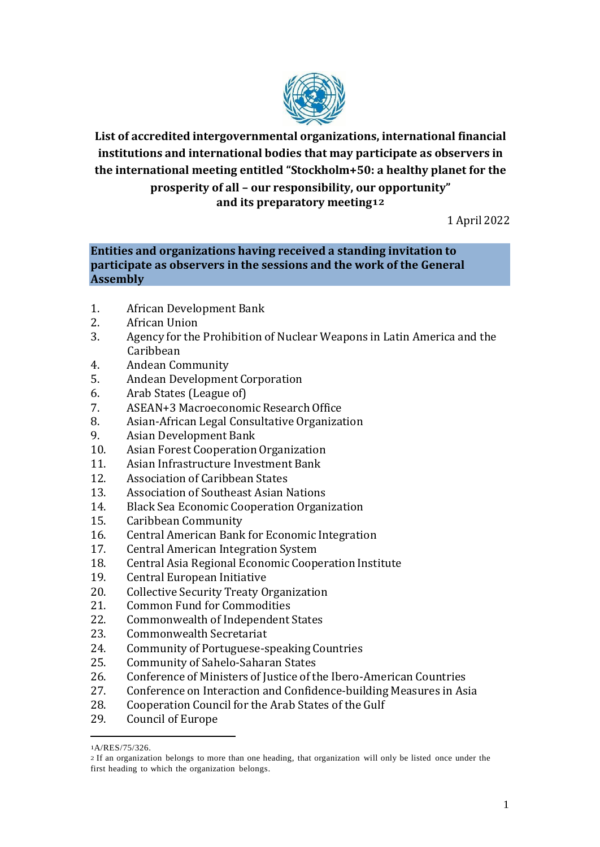

**List of accredited intergovernmental organizations, international financial institutions and international bodies that may participate as observers in the international meeting entitled "Stockholm+50: a healthy planet for the prosperity of all – our responsibility, our opportunity" and its preparatory meeting12**

1 April 2022

# **Entities and organizations having received a standing invitation to participate as observers in the sessions and the work of the General Assembly**

- 1. African Development Bank
- 2. African Union
- 3. Agency for the Prohibition of Nuclear Weapons in Latin America and the Caribbean
- 4. Andean Community
- 5. Andean Development Corporation
- 6. Arab States (League of)
- 7. ASEAN+3 Macroeconomic Research Office
- 8. Asian-African Legal Consultative Organization
- 9. Asian Development Bank
- 10. Asian Forest Cooperation Organization
- 11. Asian Infrastructure Investment Bank
- 12. Association of Caribbean States
- 13. Association of Southeast Asian Nations
- 14. Black Sea Economic Cooperation Organization
- 15. Caribbean Community
- 16. Central American Bank for Economic Integration
- 17. Central American Integration System
- 18. Central Asia Regional Economic Cooperation Institute
- 19. Central European Initiative
- 20. Collective Security Treaty Organization
- 21. Common Fund for Commodities
- 22. Commonwealth of Independent States
- 23. Commonwealth Secretariat
- 24. Community of Portuguese-speaking Countries
- 25. Community of Sahelo-Saharan States
- 26. Conference of Ministers of Justice of the Ibero-American Countries
- 27. Conference on Interaction and Confidence-building Measures in Asia
- 28. Cooperation Council for the Arab States of the Gulf
- 29. Council of Europe

<sup>1</sup>A/RES/75/326.

<sup>2</sup> If an organization belongs to more than one heading, that organization will only be listed once under the first heading to which the organization belongs.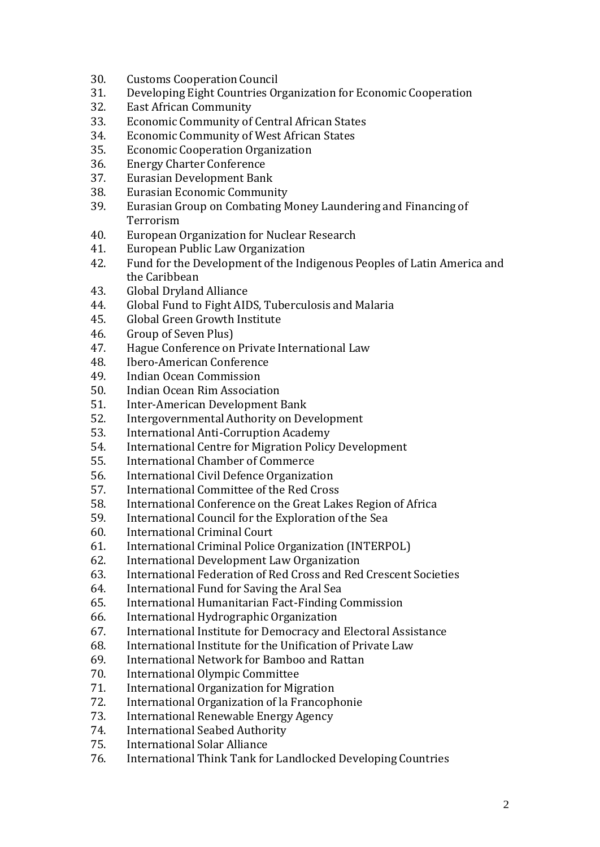- 30. Customs Cooperation Council
- 31. Developing Eight Countries Organization for Economic Cooperation
- 32. East African Community
- 33. Economic Community of Central African States
- 34. Economic Community of West African States
- 35. Economic Cooperation Organization
- 36. Energy Charter Conference
- 37. Eurasian Development Bank
- 38. Eurasian Economic Community
- 39. Eurasian Group on Combating Money Laundering and Financing of Terrorism
- 40. European Organization for Nuclear Research
- 41. European Public Law Organization
- 42. Fund for the Development of the Indigenous Peoples of Latin America and the Caribbean
- 43. Global Dryland Alliance
- 44. Global Fund to Fight AIDS, Tuberculosis and Malaria
- 45. Global Green Growth Institute
- 46. Group of Seven Plus)
- 47. Hague Conference on Private International Law
- 48. Ibero-American Conference
- 49. Indian Ocean Commission
- 50. Indian Ocean Rim Association
- 51. Inter-American Development Bank
- 52. Intergovernmental Authority on Development
- 53. International Anti-Corruption Academy
- 54. International Centre for Migration Policy Development
- 55. International Chamber of Commerce
- 56. International Civil Defence Organization
- 57. International Committee of the Red Cross
- 58. International Conference on the Great Lakes Region of Africa
- 59. International Council for the Exploration of the Sea
- 60. International Criminal Court
- 61. International Criminal Police Organization (INTERPOL)
- 62. International Development Law Organization
- 63. International Federation of Red Cross and Red Crescent Societies
- 64. International Fund for Saving the Aral Sea
- 65. International Humanitarian Fact-Finding Commission
- 66. International Hydrographic Organization
- 67. International Institute for Democracy and Electoral Assistance
- 68. International Institute for the Unification of Private Law
- 69. International Network for Bamboo and Rattan
- 70. International Olympic Committee
- 71. International Organization for Migration
- 72. International Organization of la Francophonie
- 73. International Renewable Energy Agency
- 74. International Seabed Authority
- 75. International Solar Alliance
- 76. International Think Tank for Landlocked Developing Countries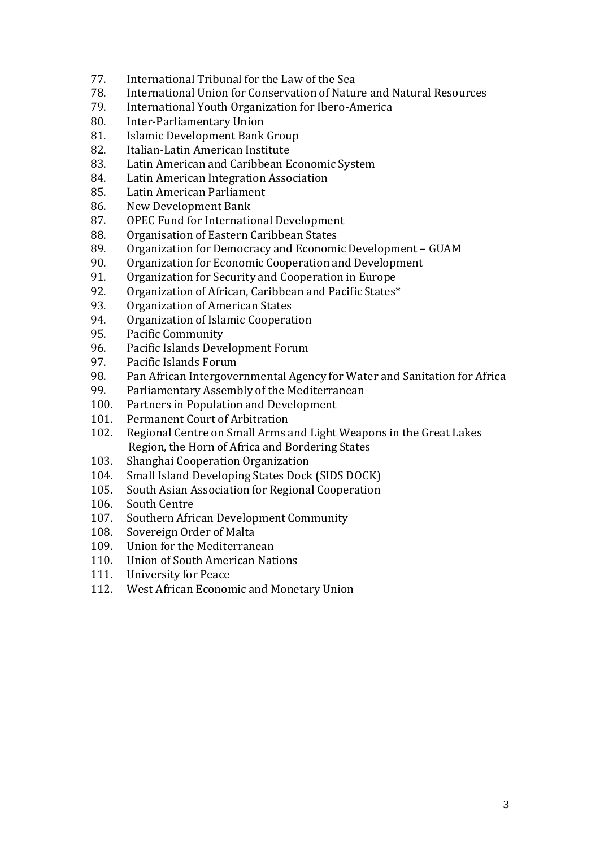- 77. International Tribunal for the Law of the Sea
- 78. International Union for Conservation of Nature and Natural Resources
- 79. International Youth Organization for Ibero-America
- 80. Inter-Parliamentary Union
- 81. Islamic Development Bank Group
- 82. Italian-Latin American Institute
- 83. Latin American and Caribbean Economic System
- 84. Latin American Integration Association
- 85. Latin American Parliament
- 86. New Development Bank
- 87. OPEC Fund for International Development
- 88. Organisation of Eastern Caribbean States
- 89. Organization for Democracy and Economic Development GUAM
- 90. Organization for Economic Cooperation and Development
- 91. Organization for Security and Cooperation in Europe
- 92. Organization of African, Caribbean and Pacific States\*
- 93. Organization of American States
- 94. Organization of Islamic Cooperation
- 95. Pacific Community
- 96. Pacific Islands Development Forum
- 97. Pacific Islands Forum
- 98. Pan African Intergovernmental Agency for Water and Sanitation for Africa
- 99. Parliamentary Assembly of the Mediterranean
- 100. Partners in Population and Development
- 101. Permanent Court of Arbitration
- 102. Regional Centre on Small Arms and Light Weapons in the Great Lakes Region, the Horn of Africa and Bordering States
- 103. Shanghai Cooperation Organization
- 104. Small Island Developing States Dock (SIDS DOCK)
- 105. South Asian Association for Regional Cooperation
- 106. South Centre
- 107. Southern African Development Community
- 108. Sovereign Order of Malta
- 109. Union for the Mediterranean
- 110. Union of South American Nations
- 111. University for Peace
- 112. West African Economic and Monetary Union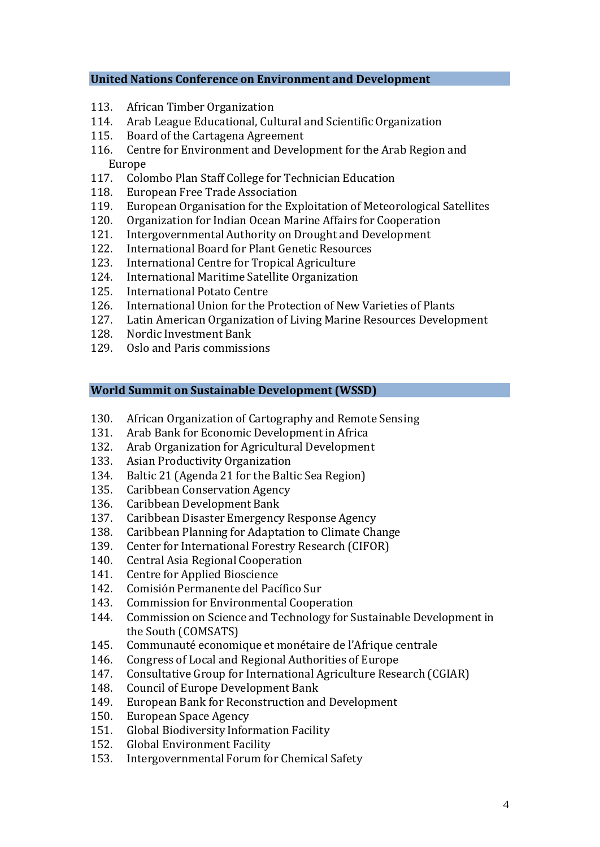#### **United Nations Conference on Environment and Development**

- 113. African Timber Organization
- 114. Arab League Educational, Cultural and Scientific Organization
- 115. Board of the Cartagena Agreement
- 116. Centre for Environment and Development for the Arab Region and Europe
- 117. Colombo Plan Staff College for Technician Education
- 118. European Free Trade Association
- 119. European Organisation for the Exploitation of Meteorological Satellites
- 120. Organization for Indian Ocean Marine Affairs for Cooperation
- 121. Intergovernmental Authority on Drought and Development
- 122. International Board for Plant Genetic Resources
- 123. International Centre for Tropical Agriculture
- 124. International Maritime Satellite Organization
- 125. International Potato Centre
- 126. International Union for the Protection of New Varieties of Plants
- 127. Latin American Organization of Living Marine Resources Development
- 128. Nordic Investment Bank
- 129. Oslo and Paris commissions

# **World Summit on Sustainable Development (WSSD)**

- 130. African Organization of Cartography and Remote Sensing
- 131. Arab Bank for Economic Development in Africa
- 132. Arab Organization for Agricultural Development
- 133. Asian Productivity Organization
- 134. Baltic 21 (Agenda 21 for the Baltic Sea Region)
- 135. Caribbean Conservation Agency
- 136. Caribbean Development Bank
- 137. Caribbean Disaster Emergency Response Agency
- 138. Caribbean Planning for Adaptation to Climate Change
- 139. Center for International Forestry Research (CIFOR)
- 140. Central Asia Regional Cooperation
- 141. Centre for Applied Bioscience
- 142. Comisión Permanente del Pacífico Sur
- 143. Commission for Environmental Cooperation
- 144. Commission on Science and Technology for Sustainable Development in the South (COMSATS)
- 145. Communauté economique et monétaire de l'Afrique centrale
- 146. Congress of Local and Regional Authorities of Europe
- 147. Consultative Group for International Agriculture Research (CGIAR)
- 148. Council of Europe Development Bank
- 149. European Bank for Reconstruction and Development
- 150. European Space Agency
- 151. Global Biodiversity Information Facility
- 152. Global Environment Facility
- 153. Intergovernmental Forum for Chemical Safety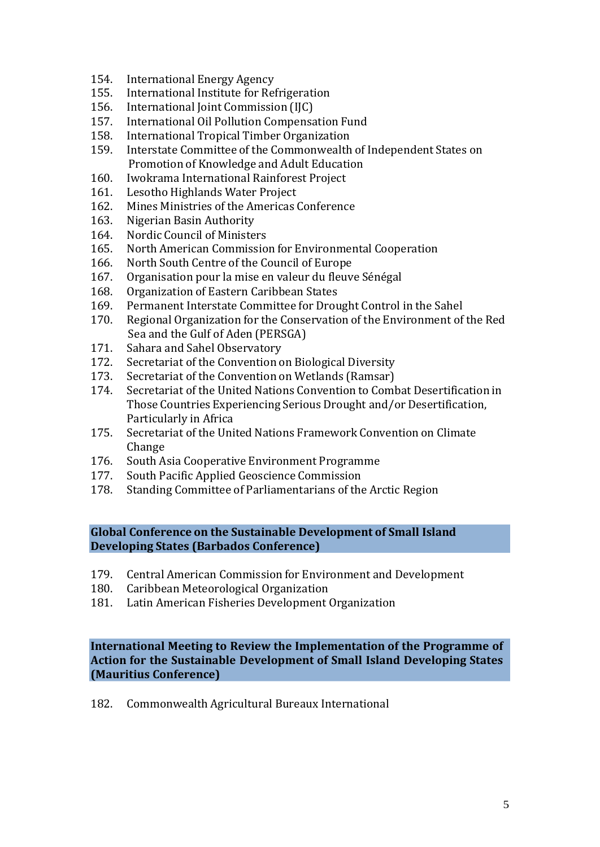- 154. International Energy Agency
- 155. International Institute for Refrigeration
- 156. International Joint Commission (IJC)
- 157. International Oil Pollution Compensation Fund
- 158. International Tropical Timber Organization
- Interstate Committee of the Commonwealth of Independent States on Promotion of Knowledge and Adult Education
- 160. Iwokrama International Rainforest Project
- 161. Lesotho Highlands Water Project
- 162. Mines Ministries of the Americas Conference
- 163. Nigerian Basin Authority
- 164. Nordic Council of Ministers
- 165. North American Commission for Environmental Cooperation
- 166. North South Centre of the Council of Europe
- 167. Organisation pour la mise en valeur du fleuve Sénégal
- 168. Organization of Eastern Caribbean States
- 169. Permanent Interstate Committee for Drought Control in the Sahel
- 170. Regional Organization for the Conservation of the Environment of the Red Sea and the Gulf of Aden (PERSGA)
- 171. Sahara and Sahel Observatory
- 172. Secretariat of the Convention on Biological Diversity
- 173. Secretariat of the Convention on Wetlands (Ramsar)
- 174. Secretariat of the United Nations Convention to Combat Desertification in Those Countries Experiencing Serious Drought and/or Desertification, Particularly in Africa
- 175. Secretariat of the United Nations Framework Convention on Climate Change
- 176. South Asia Cooperative Environment Programme
- 177. South Pacific Applied Geoscience Commission
- 178. Standing Committee of Parliamentarians of the Arctic Region

**Global Conference on the Sustainable Development of Small Island Developing States (Barbados Conference)**

- 179. Central American Commission for Environment and Development
- 180. Caribbean Meteorological Organization
- 181. Latin American Fisheries Development Organization

**International Meeting to Review the Implementation of the Programme of Action for the Sustainable Development of Small Island Developing States (Mauritius Conference)**

182. Commonwealth Agricultural Bureaux International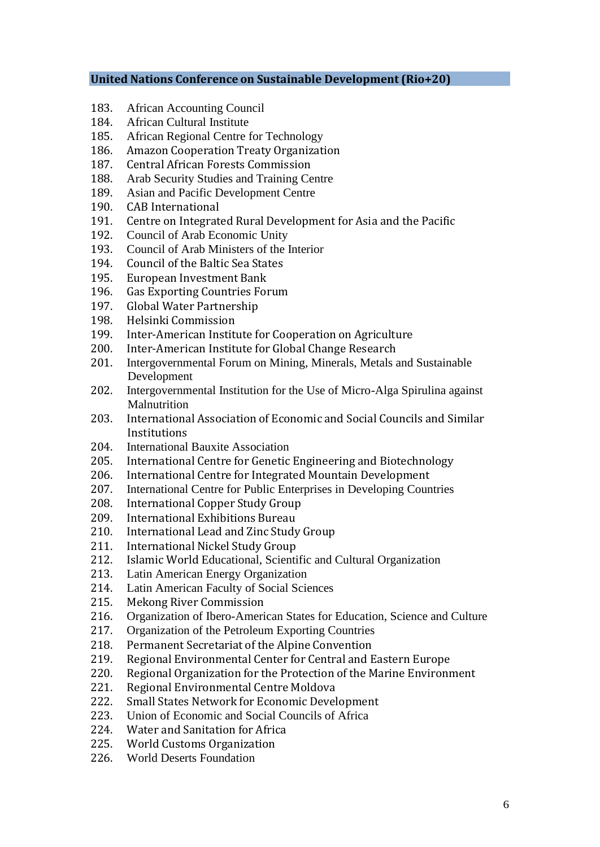#### **United Nations Conference on Sustainable Development (Rio+20)**

- 183. African Accounting Council
- 184. African Cultural Institute
- 185. African Regional Centre for Technology
- 186. Amazon Cooperation Treaty Organization
- 187. Central African Forests Commission
- 188. Arab Security Studies and Training Centre
- 189. Asian and Pacific Development Centre
- 190. CAB International
- 191. Centre on Integrated Rural Development for Asia and the Pacific
- 192. Council of Arab Economic Unity
- 193. Council of Arab Ministers of the Interior
- 194. Council of the Baltic Sea States
- 195. European Investment Bank
- 196. Gas Exporting Countries Forum
- 197. Global Water Partnership
- 198. Helsinki Commission
- 199. Inter-American Institute for Cooperation on Agriculture
- 200. Inter-American Institute for Global Change Research
- 201. Intergovernmental Forum on Mining, Minerals, Metals and Sustainable Development
- 202. Intergovernmental Institution for the Use of Micro-Alga Spirulina against **Malnutrition**
- 203. International Association of Economic and Social Councils and Similar Institutions
- 204. International Bauxite Association
- 205. International Centre for Genetic Engineering and Biotechnology
- 206. International Centre for Integrated Mountain Development
- 207. International Centre for Public Enterprises in Developing Countries
- 208. International Copper Study Group
- 209. International Exhibitions Bureau
- 210. International Lead and Zinc Study Group
- 211. International Nickel Study Group
- 212. Islamic World Educational, Scientific and Cultural Organization
- 213. Latin American Energy Organization
- 214. Latin American Faculty of Social Sciences
- 215. Mekong River Commission
- 216. Organization of Ibero-American States for Education, Science and Culture
- 217. Organization of the Petroleum Exporting Countries
- 218. Permanent Secretariat of the Alpine Convention
- 219. Regional Environmental Center for Central and Eastern Europe
- 220. Regional Organization for the Protection of the Marine Environment
- 221. Regional Environmental Centre Moldova
- 222. Small States Network for Economic Development
- 223. Union of Economic and Social Councils of Africa
- 224. Water and Sanitation for Africa
- 225. World Customs Organization
- 226. World Deserts Foundation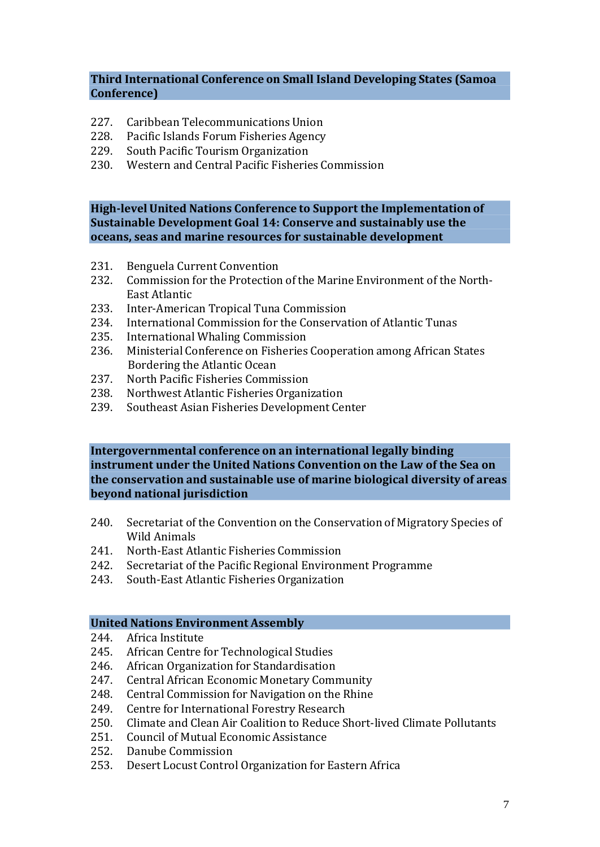### **Third International Conference on Small Island Developing States (Samoa Conference)**

- 227. Caribbean Telecommunications Union
- 228. Pacific Islands Forum Fisheries Agency
- 229. South Pacific Tourism Organization
- 230. Western and Central Pacific Fisheries Commission

**High-level United Nations Conference to Support the Implementation of Sustainable Development Goal 14: Conserve and sustainably use the oceans, seas and marine resources for sustainable development**

- 231. Benguela Current Convention
- 232. Commission for the Protection of the Marine Environment of the North-East Atlantic
- 233. Inter-American Tropical Tuna Commission
- 234. International Commission for the Conservation of Atlantic Tunas
- 235. International Whaling Commission
- 236. Ministerial Conference on Fisheries Cooperation among African States Bordering the Atlantic Ocean
- 237. North Pacific Fisheries Commission
- 238. Northwest Atlantic Fisheries Organization
- 239. Southeast Asian Fisheries Development Center

## **Intergovernmental conference on an international legally binding instrument under the United Nations Convention on the Law of the Sea on the conservation and sustainable use of marine biological diversity of areas beyond national jurisdiction**

- 240. Secretariat of the Convention on the Conservation of Migratory Species of Wild Animals
- 241. North-East Atlantic Fisheries Commission
- 242. Secretariat of the Pacific Regional Environment Programme
- 243. South-East Atlantic Fisheries Organization

## **United Nations Environment Assembly**

- 244. Africa Institute
- 245. African Centre for Technological Studies
- 246. African Organization for Standardisation
- 247. Central African Economic Monetary Community
- 248. Central Commission for Navigation on the Rhine
- 249. Centre for International Forestry Research
- 250. Climate and Clean Air Coalition to Reduce Short-lived Climate Pollutants
- 251. Council of Mutual Economic Assistance
- 252. Danube Commission
- 253. Desert Locust Control Organization for Eastern Africa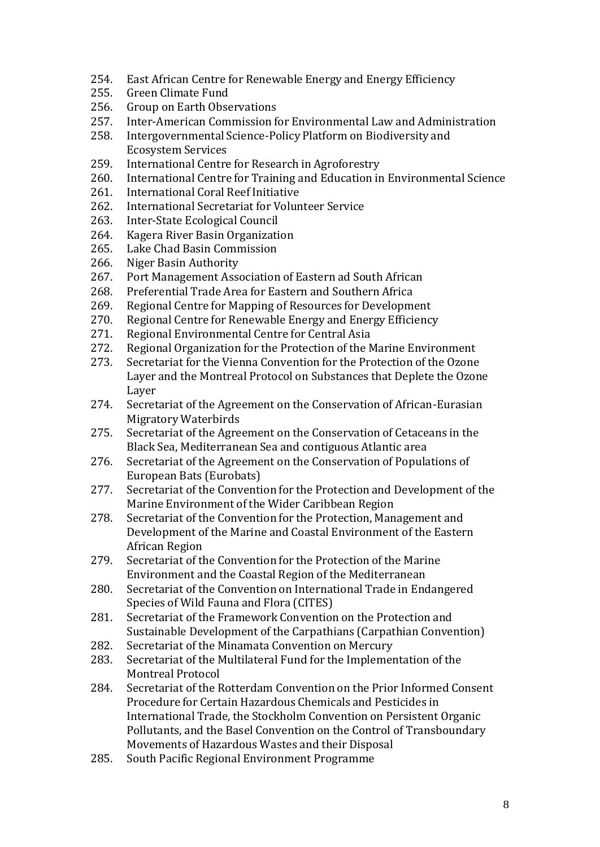- 254. East African Centre for Renewable Energy and Energy Efficiency
- 255. Green Climate Fund
- 256. Group on Earth Observations
- 257. Inter-American Commission for Environmental Law and Administration
- 258. Intergovernmental Science-Policy Platform on Biodiversity and Ecosystem Services
- 259. International Centre for Research in Agroforestry
- 260. International Centre for Training and Education in Environmental Science
- 261. International Coral Reef Initiative
- 262. International Secretariat for Volunteer Service
- 263. Inter-State Ecological Council
- 264. Kagera River Basin Organization
- 265. Lake Chad Basin Commission
- 266. Niger Basin Authority
- 267. Port Management Association of Eastern ad South African
- 268. Preferential Trade Area for Eastern and Southern Africa
- 269. Regional Centre for Mapping of Resources for Development
- 270. Regional Centre for Renewable Energy and Energy Efficiency
- 271. Regional Environmental Centre for Central Asia
- 272. Regional Organization for the Protection of the Marine Environment
- 273. Secretariat for the Vienna Convention for the Protection of the Ozone Layer and the Montreal Protocol on Substances that Deplete the Ozone Layer
- 274. Secretariat of the Agreement on the Conservation of African-Eurasian Migratory Waterbirds
- 275. Secretariat of the Agreement on the Conservation of Cetaceans in the Black Sea, Mediterranean Sea and contiguous Atlantic area
- 276. Secretariat of the Agreement on the Conservation of Populations of European Bats (Eurobats)
- 277. Secretariat of the Convention for the Protection and Development of the Marine Environment of the Wider Caribbean Region
- 278. Secretariat of the Convention for the Protection, Management and Development of the Marine and Coastal Environment of the Eastern African Region
- 279. Secretariat of the Convention for the Protection of the Marine Environment and the Coastal Region of the Mediterranean
- 280. Secretariat of the Convention on International Trade in Endangered Species of Wild Fauna and Flora (CITES)
- 281. Secretariat of the Framework Convention on the Protection and Sustainable Development of the Carpathians (Carpathian Convention)
- 282. Secretariat of the Minamata Convention on Mercury
- 283. Secretariat of the Multilateral Fund for the Implementation of the Montreal Protocol
- 284. Secretariat of the Rotterdam Convention on the Prior Informed Consent Procedure for Certain Hazardous Chemicals and Pesticides in International Trade, the Stockholm Convention on Persistent Organic Pollutants, and the Basel Convention on the Control of Transboundary Movements of Hazardous Wastes and their Disposal
- 285. South Pacific Regional Environment Programme